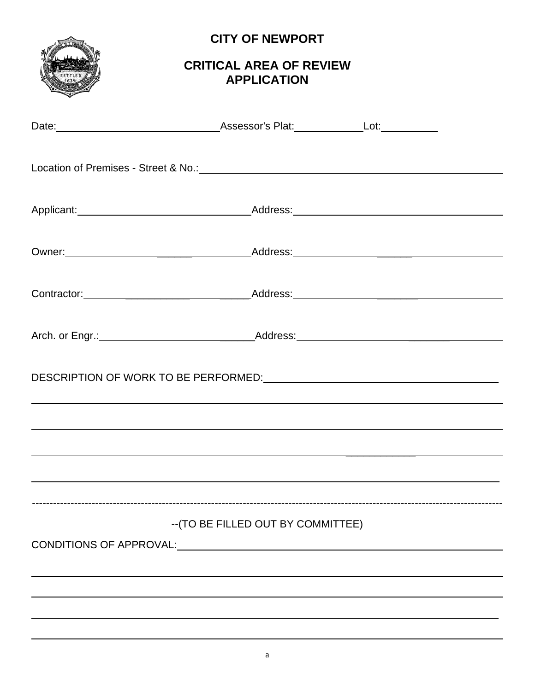

# **CITY OF NEWPORT**

## **CRITICAL AREA OF REVIEW APPLICATION**

| <u> 1989 - Jan Salaman Salah Serang Bandaran Serang Bandaran Serang Bandaran Serang Bandaran Serang Bandaran Sera</u> |                                    |  |
|-----------------------------------------------------------------------------------------------------------------------|------------------------------------|--|
|                                                                                                                       |                                    |  |
| <u> 1990 - Jan Barat de Santa Garristo de Santa Garristo de Santa Garristo de Santa Garristo de Santa Garristo d</u>  |                                    |  |
|                                                                                                                       | -- (TO BE FILLED OUT BY COMMITTEE) |  |
|                                                                                                                       |                                    |  |
|                                                                                                                       |                                    |  |
|                                                                                                                       |                                    |  |
|                                                                                                                       |                                    |  |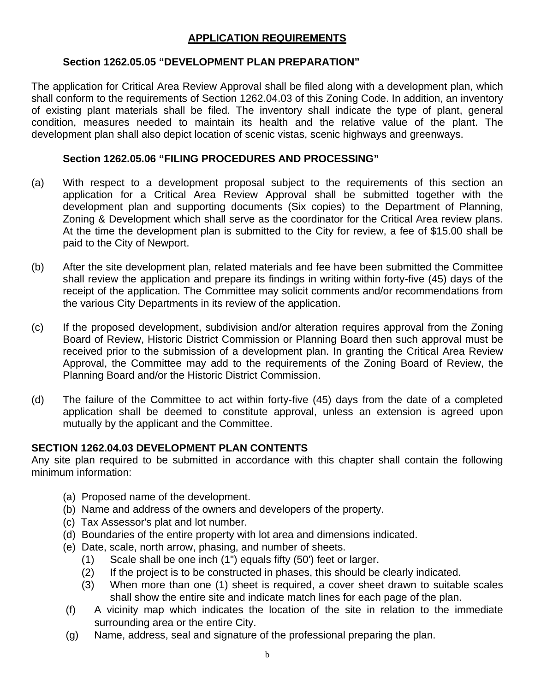### **APPLICATION REQUIREMENTS**

#### **Section 1262.05.05 "DEVELOPMENT PLAN PREPARATION"**

The application for Critical Area Review Approval shall be filed along with a development plan, which shall conform to the requirements of Section 1262.04.03 of this Zoning Code. In addition, an inventory of existing plant materials shall be filed. The inventory shall indicate the type of plant, general condition, measures needed to maintain its health and the relative value of the plant. The development plan shall also depict location of scenic vistas, scenic highways and greenways.

#### **Section 1262.05.06 "FILING PROCEDURES AND PROCESSING"**

- (a) With respect to a development proposal subject to the requirements of this section an application for a Critical Area Review Approval shall be submitted together with the development plan and supporting documents (Six copies) to the Department of Planning, Zoning & Development which shall serve as the coordinator for the Critical Area review plans. At the time the development plan is submitted to the City for review, a fee of \$15.00 shall be paid to the City of Newport.
- (b) After the site development plan, related materials and fee have been submitted the Committee shall review the application and prepare its findings in writing within forty-five (45) days of the receipt of the application. The Committee may solicit comments and/or recommendations from the various City Departments in its review of the application.
- (c) If the proposed development, subdivision and/or alteration requires approval from the Zoning Board of Review, Historic District Commission or Planning Board then such approval must be received prior to the submission of a development plan. In granting the Critical Area Review Approval, the Committee may add to the requirements of the Zoning Board of Review, the Planning Board and/or the Historic District Commission.
- (d) The failure of the Committee to act within forty-five (45) days from the date of a completed application shall be deemed to constitute approval, unless an extension is agreed upon mutually by the applicant and the Committee.

#### **SECTION 1262.04.03 DEVELOPMENT PLAN CONTENTS**

Any site plan required to be submitted in accordance with this chapter shall contain the following minimum information:

- (a) Proposed name of the development.
- (b) Name and address of the owners and developers of the property.
- (c) Tax Assessor's plat and lot number.
- (d) Boundaries of the entire property with lot area and dimensions indicated.
- (e) Date, scale, north arrow, phasing, and number of sheets.
	- (1) Scale shall be one inch (1") equals fifty (50') feet or larger.
	- (2) If the project is to be constructed in phases, this should be clearly indicated.
	- (3) When more than one (1) sheet is required, a cover sheet drawn to suitable scales shall show the entire site and indicate match lines for each page of the plan.
- (f) A vicinity map which indicates the location of the site in relation to the immediate surrounding area or the entire City.
- (g) Name, address, seal and signature of the professional preparing the plan.